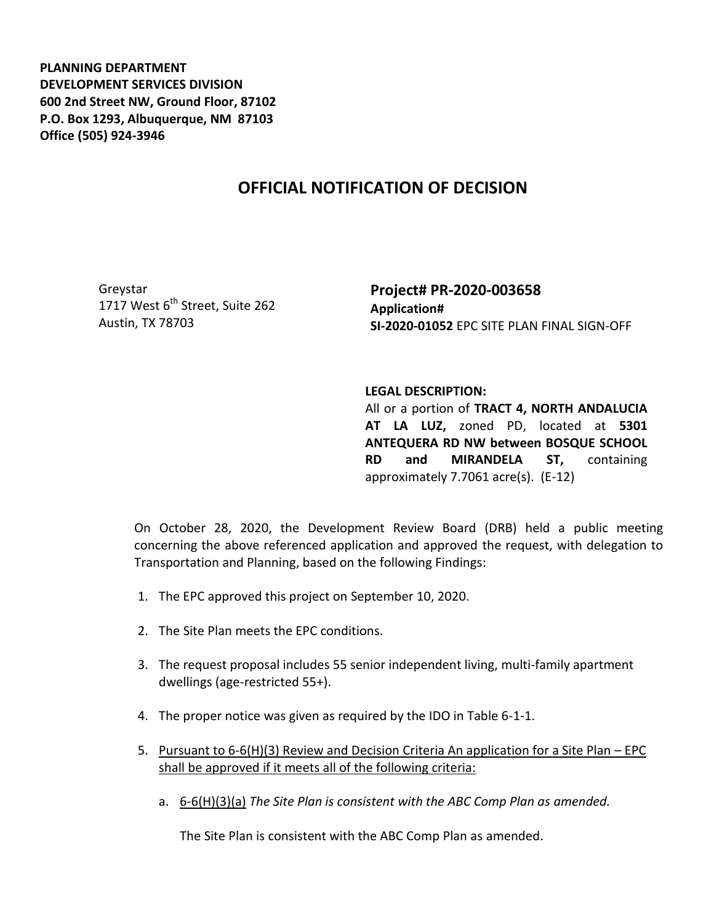**PLANNING DEPARTMENT DEVELOPMENT SERVICES DIVISION 600 2nd Street NW, Ground Floor, 87102 P.O. Box 1293, Albuquerque, NM 87103 Office (505) 924-3946** 

## **OFFICIAL NOTIFICATION OF DECISION**

Greystar 1717 West  $6^{th}$  Street, Suite 262 Austin, TX 78703

**Project# PR-2020-003658 Application# SI-2020-01052** EPC SITE PLAN FINAL SIGN-OFF

## **LEGAL DESCRIPTION:**

All or a portion of **TRACT 4, NORTH ANDALUCIA AT LA LUZ,** zoned PD, located at **5301 ANTEQUERA RD NW between BOSQUE SCHOOL RD and MIRANDELA ST,** containing approximately 7.7061 acre(s). (E-12)

On October 28, 2020, the Development Review Board (DRB) held a public meeting concerning the above referenced application and approved the request, with delegation to Transportation and Planning, based on the following Findings:

- 1. The EPC approved this project on September 10, 2020.
- 2. The Site Plan meets the EPC conditions.
- 3. The request proposal includes 55 senior independent living, multi-family apartment dwellings (age-restricted 55+).
- 4. The proper notice was given as required by the IDO in Table 6-1-1.
- 5. Pursuant to 6-6(H)(3) Review and Decision Criteria An application for a Site Plan EPC shall be approved if it meets all of the following criteria:
	- a. 6-6(H)(3)(a) *The Site Plan is consistent with the ABC Comp Plan as amended.*

The Site Plan is consistent with the ABC Comp Plan as amended.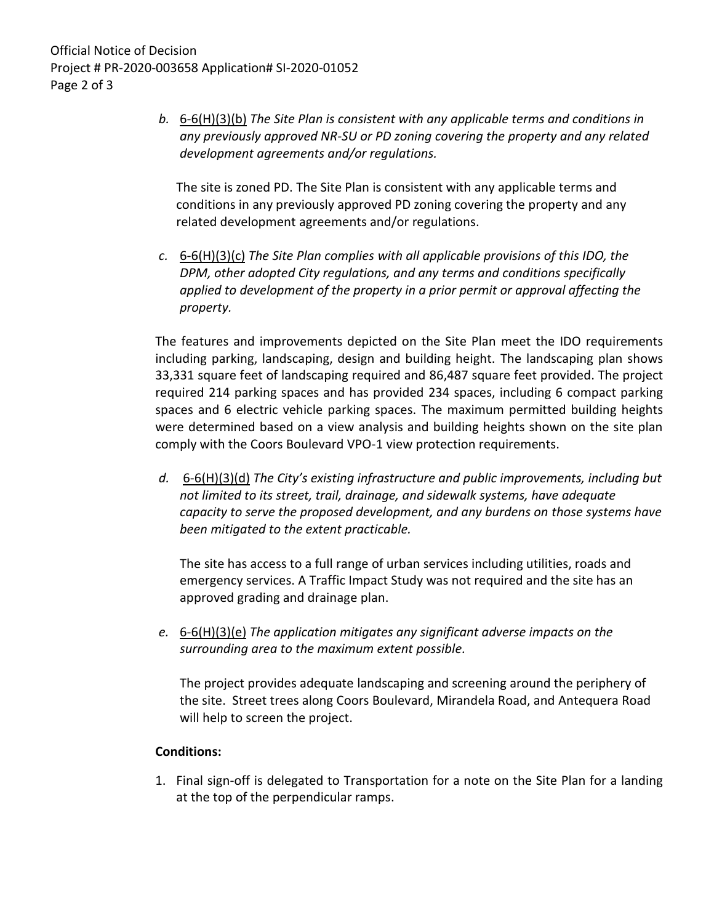*b.* 6-6(H)(3)(b) *The Site Plan is consistent with any applicable terms and conditions in any previously approved NR-SU or PD zoning covering the property and any related development agreements and/or regulations.* 

The site is zoned PD. The Site Plan is consistent with any applicable terms and conditions in any previously approved PD zoning covering the property and any related development agreements and/or regulations.

*c.* 6-6(H)(3)(c) *The Site Plan complies with all applicable provisions of this IDO, the DPM, other adopted City regulations, and any terms and conditions specifically applied to development of the property in a prior permit or approval affecting the property.* 

The features and improvements depicted on the Site Plan meet the IDO requirements including parking, landscaping, design and building height. The landscaping plan shows 33,331 square feet of landscaping required and 86,487 square feet provided. The project required 214 parking spaces and has provided 234 spaces, including 6 compact parking spaces and 6 electric vehicle parking spaces. The maximum permitted building heights were determined based on a view analysis and building heights shown on the site plan comply with the Coors Boulevard VPO-1 view protection requirements.

*d.* 6-6(H)(3)(d) *The City's existing infrastructure and public improvements, including but not limited to its street, trail, drainage, and sidewalk systems, have adequate capacity to serve the proposed development, and any burdens on those systems have been mitigated to the extent practicable.* 

The site has access to a full range of urban services including utilities, roads and emergency services. A Traffic Impact Study was not required and the site has an approved grading and drainage plan.

*e.* 6-6(H)(3)(e) *The application mitigates any significant adverse impacts on the surrounding area to the maximum extent possible.* 

The project provides adequate landscaping and screening around the periphery of the site. Street trees along Coors Boulevard, Mirandela Road, and Antequera Road will help to screen the project.

## **Conditions:**

1. Final sign-off is delegated to Transportation for a note on the Site Plan for a landing at the top of the perpendicular ramps.